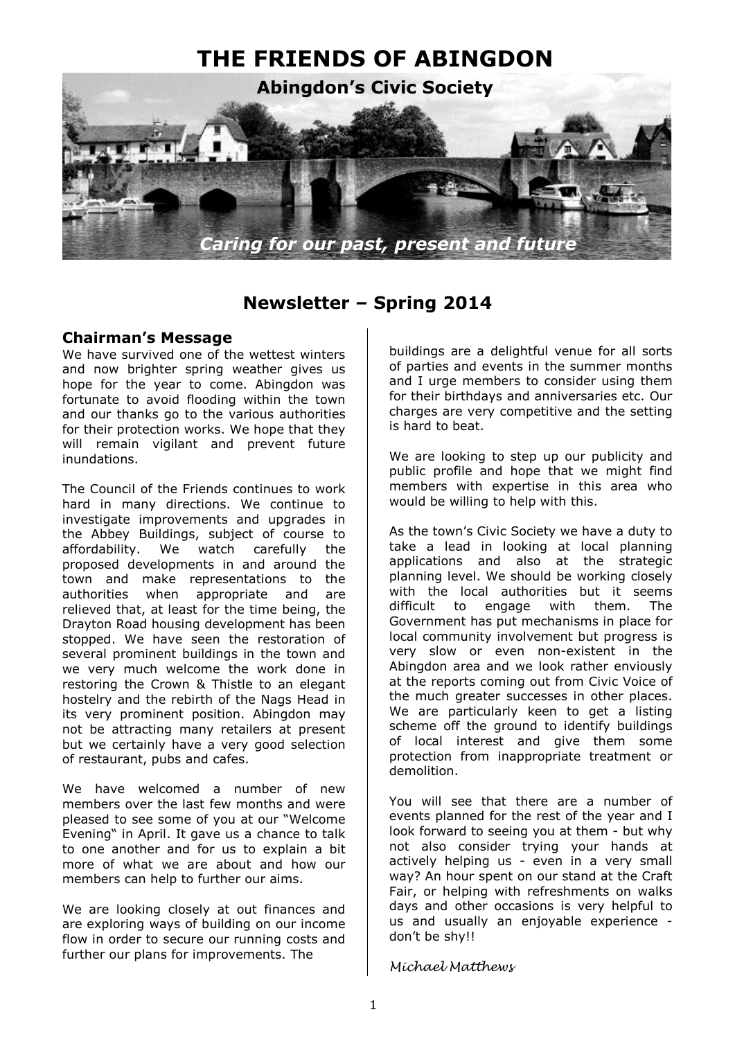

# **Newsletter – Spring 2014**

## **Chairman's Message**

We have survived one of the wettest winters and now brighter spring weather gives us hope for the year to come. Abingdon was fortunate to avoid flooding within the town and our thanks go to the various authorities for their protection works. We hope that they will remain vigilant and prevent future inundations.

The Council of the Friends continues to work hard in many directions. We continue to investigate improvements and upgrades in the Abbey Buildings, subject of course to<br>affordability. We watch carefully the affordability. We watch carefully the proposed developments in and around the town and make representations to the authorities when appropriate and are relieved that, at least for the time being, the Drayton Road housing development has been stopped. We have seen the restoration of several prominent buildings in the town and we very much welcome the work done in restoring the Crown & Thistle to an elegant hostelry and the rebirth of the Nags Head in its very prominent position. Abingdon may not be attracting many retailers at present but we certainly have a very good selection of restaurant, pubs and cafes.

We have welcomed a number of new members over the last few months and were pleased to see some of you at our "Welcome Evening" in April. It gave us a chance to talk to one another and for us to explain a bit more of what we are about and how our members can help to further our aims.

We are looking closely at out finances and are exploring ways of building on our income flow in order to secure our running costs and further our plans for improvements. The

buildings are a delightful venue for all sorts of parties and events in the summer months and I urge members to consider using them for their birthdays and anniversaries etc. Our charges are very competitive and the setting is hard to beat.

We are looking to step up our publicity and public profile and hope that we might find members with expertise in this area who would be willing to help with this.

As the town's Civic Society we have a duty to take a lead in looking at local planning applications and also at the strategic planning level. We should be working closely with the local authorities but it seems difficult to engage with them. The Government has put mechanisms in place for local community involvement but progress is very slow or even non-existent in the Abingdon area and we look rather enviously at the reports coming out from Civic Voice of the much greater successes in other places. We are particularly keen to get a listing scheme off the ground to identify buildings of local interest and give them some protection from inappropriate treatment or demolition.

You will see that there are a number of events planned for the rest of the year and I look forward to seeing you at them - but why not also consider trying your hands at actively helping us - even in a very small way? An hour spent on our stand at the Craft Fair, or helping with refreshments on walks days and other occasions is very helpful to us and usually an enjoyable experience don't be shy!!

#### *Michael Matthews*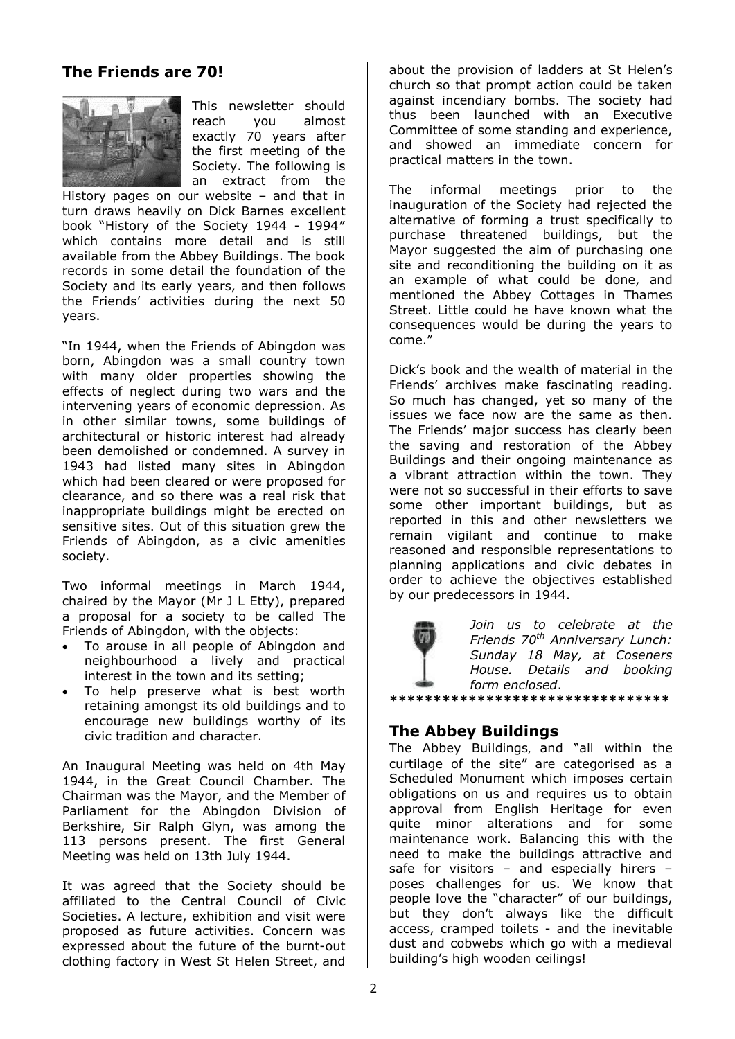# **The Friends are 70!**



This newsletter should reach you almost exactly 70 years after the first meeting of the Society. The following is an extract from the

History pages on our website – and that in turn draws heavily on Dick Barnes excellent book "History of the Society 1944 - 1994″ which contains more detail and is still available from the Abbey Buildings. The book records in some detail the foundation of the Society and its early years, and then follows the Friends' activities during the next 50 years.

"In 1944, when the Friends of Abingdon was born, Abingdon was a small country town with many older properties showing the effects of neglect during two wars and the intervening years of economic depression. As in other similar towns, some buildings of architectural or historic interest had already been demolished or condemned. A survey in 1943 had listed many sites in Abingdon which had been cleared or were proposed for clearance, and so there was a real risk that inappropriate buildings might be erected on sensitive sites. Out of this situation grew the Friends of Abingdon, as a civic amenities society.

Two informal meetings in March 1944, chaired by the Mayor (Mr J L Etty), prepared a proposal for a society to be called The Friends of Abingdon, with the objects:

- To arouse in all people of Abingdon and neighbourhood a lively and practical interest in the town and its setting;
- To help preserve what is best worth retaining amongst its old buildings and to encourage new buildings worthy of its civic tradition and character.

An Inaugural Meeting was held on 4th May 1944, in the Great Council Chamber. The Chairman was the Mayor, and the Member of Parliament for the Abingdon Division of Berkshire, Sir Ralph Glyn, was among the 113 persons present. The first General Meeting was held on 13th July 1944.

It was agreed that the Society should be affiliated to the Central Council of Civic Societies. A lecture, exhibition and visit were proposed as future activities. Concern was expressed about the future of the burnt-out clothing factory in West St Helen Street, and

about the provision of ladders at St Helen's church so that prompt action could be taken against incendiary bombs. The society had thus been launched with an Executive Committee of some standing and experience, and showed an immediate concern for practical matters in the town.

The informal meetings prior to the inauguration of the Society had rejected the alternative of forming a trust specifically to purchase threatened buildings, but the Mayor suggested the aim of purchasing one site and reconditioning the building on it as an example of what could be done, and mentioned the Abbey Cottages in Thames Street. Little could he have known what the consequences would be during the years to come."

Dick's book and the wealth of material in the Friends' archives make fascinating reading. So much has changed, yet so many of the issues we face now are the same as then. The Friends' major success has clearly been the saving and restoration of the Abbey Buildings and their ongoing maintenance as a vibrant attraction within the town. They were not so successful in their efforts to save some other important buildings, but as reported in this and other newsletters we remain vigilant and continue to make reasoned and responsible representations to planning applications and civic debates in order to achieve the objectives established by our predecessors in 1944.



*Join us to celebrate at the Friends 70th Anniversary Lunch: Sunday 18 May, at Coseners House. Details and booking form enclosed*. **\*\*\*\*\*\*\*\*\*\*\*\*\*\*\*\*\*\*\*\*\*\*\*\*\*\*\*\*\*\*\*\***

# **The Abbey Buildings**

The Abbey Buildings, and "all within the curtilage of the site" are categorised as a Scheduled Monument which imposes certain obligations on us and requires us to obtain approval from English Heritage for even quite minor alterations and for some maintenance work. Balancing this with the need to make the buildings attractive and safe for visitors – and especially hirers – poses challenges for us. We know that people love the "character" of our buildings, but they don't always like the difficult access, cramped toilets - and the inevitable dust and cobwebs which go with a medieval building's high wooden ceilings!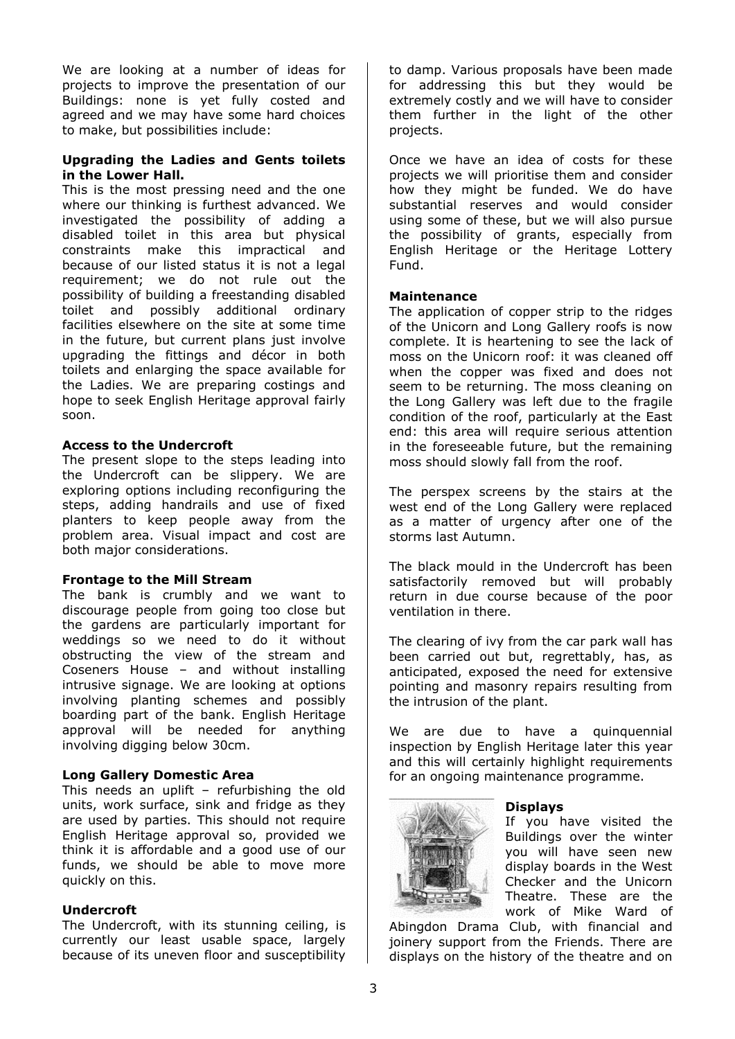We are looking at a number of ideas for projects to improve the presentation of our Buildings: none is yet fully costed and agreed and we may have some hard choices to make, but possibilities include:

#### **Upgrading the Ladies and Gents toilets in the Lower Hall.**

This is the most pressing need and the one where our thinking is furthest advanced. We investigated the possibility of adding a disabled toilet in this area but physical constraints make this impractical and because of our listed status it is not a legal requirement; we do not rule out the possibility of building a freestanding disabled toilet and possibly additional ordinary facilities elsewhere on the site at some time in the future, but current plans just involve upgrading the fittings and décor in both toilets and enlarging the space available for the Ladies. We are preparing costings and hope to seek English Heritage approval fairly soon.

#### **Access to the Undercroft**

The present slope to the steps leading into the Undercroft can be slippery. We are exploring options including reconfiguring the steps, adding handrails and use of fixed planters to keep people away from the problem area. Visual impact and cost are both major considerations.

#### **Frontage to the Mill Stream**

The bank is crumbly and we want to discourage people from going too close but the gardens are particularly important for weddings so we need to do it without obstructing the view of the stream and Coseners House – and without installing intrusive signage. We are looking at options involving planting schemes and possibly boarding part of the bank. English Heritage approval will be needed for anything involving digging below 30cm.

#### **Long Gallery Domestic Area**

This needs an uplift – refurbishing the old units, work surface, sink and fridge as they are used by parties. This should not require English Heritage approval so, provided we think it is affordable and a good use of our funds, we should be able to move more quickly on this.

### **Undercroft**

The Undercroft, with its stunning ceiling, is currently our least usable space, largely because of its uneven floor and susceptibility to damp. Various proposals have been made for addressing this but they would be extremely costly and we will have to consider them further in the light of the other projects.

Once we have an idea of costs for these projects we will prioritise them and consider how they might be funded. We do have substantial reserves and would consider using some of these, but we will also pursue the possibility of grants, especially from English Heritage or the Heritage Lottery Fund.

#### **Maintenance**

The application of copper strip to the ridges of the Unicorn and Long Gallery roofs is now complete. It is heartening to see the lack of moss on the Unicorn roof: it was cleaned off when the copper was fixed and does not seem to be returning. The moss cleaning on the Long Gallery was left due to the fragile condition of the roof, particularly at the East end: this area will require serious attention in the foreseeable future, but the remaining moss should slowly fall from the roof.

The perspex screens by the stairs at the west end of the Long Gallery were replaced as a matter of urgency after one of the storms last Autumn.

The black mould in the Undercroft has been satisfactorily removed but will probably return in due course because of the poor ventilation in there.

The clearing of ivy from the car park wall has been carried out but, regrettably, has, as anticipated, exposed the need for extensive pointing and masonry repairs resulting from the intrusion of the plant.

We are due to have a quinquennial inspection by English Heritage later this year and this will certainly highlight requirements for an ongoing maintenance programme.



#### **Displays**

If you have visited the Buildings over the winter you will have seen new display boards in the West Checker and the Unicorn Theatre. These are the work of Mike Ward of

Abingdon Drama Club, with financial and joinery support from the Friends. There are displays on the history of the theatre and on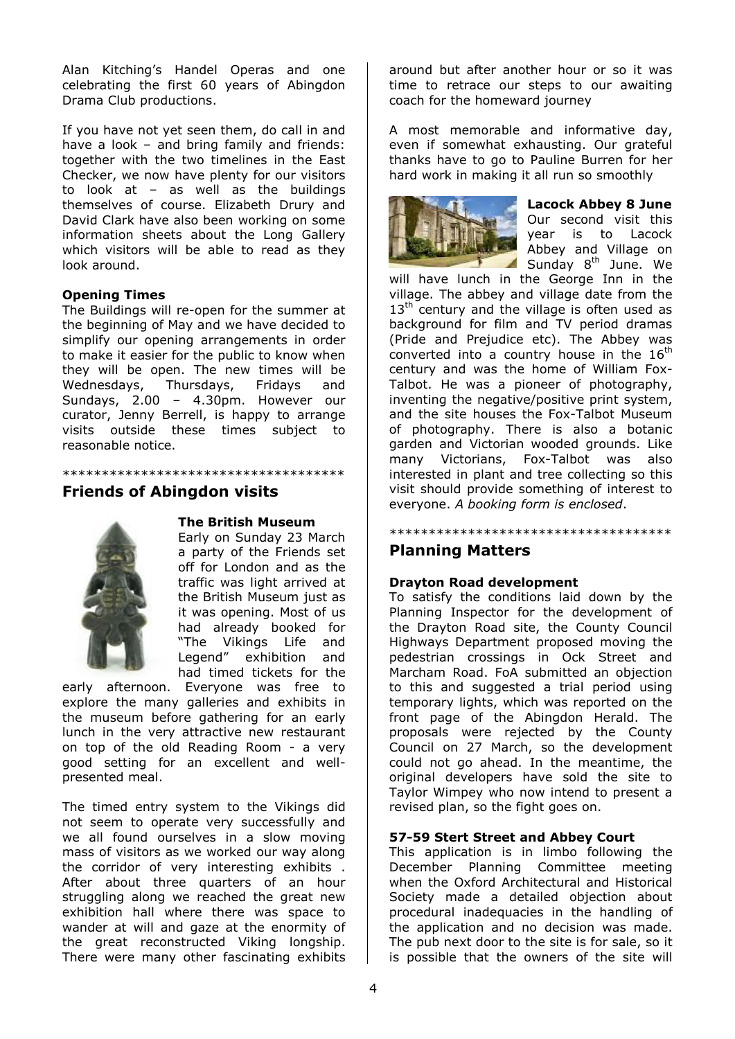Alan Kitching's Handel Operas and one celebrating the first 60 years of Abingdon Drama Club productions.

If you have not yet seen them, do call in and have a look - and bring family and friends: together with the two timelines in the East Checker, we now have plenty for our visitors to look at – as well as the buildings themselves of course. Elizabeth Drury and David Clark have also been working on some information sheets about the Long Gallery which visitors will be able to read as they look around.

#### **Opening Times**

The Buildings will re-open for the summer at the beginning of May and we have decided to simplify our opening arrangements in order to make it easier for the public to know when they will be open. The new times will be Wednesdays, Thursdays, Fridays and Sundays, 2.00 – 4.30pm. However our curator, Jenny Berrell, is happy to arrange visits outside these times subject to reasonable notice.

# \*\*\*\*\*\*\*\*\*\*\*\*\*\*\*\*\*\*\*\*\*\*\*\*\*\*\*\*\*\*\*\*\*\*\*\*

### **Friends of Abingdon visits**



#### **The British Museum**

Early on Sunday 23 March a party of the Friends set off for London and as the traffic was light arrived at the British Museum just as it was opening. Most of us had already booked for "The Vikings Life and Legend" exhibition and had timed tickets for the

early afternoon. Everyone was free to explore the many galleries and exhibits in the museum before gathering for an early lunch in the very attractive new restaurant on top of the old Reading Room - a very good setting for an excellent and wellpresented meal.

The timed entry system to the Vikings did not seem to operate very successfully and we all found ourselves in a slow moving mass of visitors as we worked our way along the corridor of very interesting exhibits . After about three quarters of an hour struggling along we reached the great new exhibition hall where there was space to wander at will and gaze at the enormity of the great reconstructed Viking longship. There were many other fascinating exhibits

around but after another hour or so it was time to retrace our steps to our awaiting coach for the homeward journey

A most memorable and informative day, even if somewhat exhausting. Our grateful thanks have to go to Pauline Burren for her hard work in making it all run so smoothly



**Lacock Abbey 8 June**  Our second visit this year is to Lacock Abbey and Village on  $\blacktriangle$  Sunday  $8<sup>th</sup>$  June. We

will have lunch in the George Inn in the village. The abbey and village date from the  $13<sup>th</sup>$  century and the village is often used as background for film and TV period dramas (Pride and Prejudice etc). The Abbey was converted into a country house in the  $16<sup>th</sup>$ century and was the home of William Fox-Talbot. He was a pioneer of photography, inventing the negative/positive print system, and the site houses the Fox-Talbot Museum of photography. There is also a botanic garden and Victorian wooded grounds. Like many Victorians, Fox-Talbot was also interested in plant and tree collecting so this visit should provide something of interest to everyone. *A booking form is enclosed*.

\*\*\*\*\*\*\*\*\*\*\*\*\*\*\*\*\*\*\*\*\*\*\*\*\*\*\*\*\*\*\*\*\*\*\*\*

# **Planning Matters**

#### **Drayton Road development**

To satisfy the conditions laid down by the Planning Inspector for the development of the Drayton Road site, the County Council Highways Department proposed moving the pedestrian crossings in Ock Street and Marcham Road. FoA submitted an objection to this and suggested a trial period using temporary lights, which was reported on the front page of the Abingdon Herald. The proposals were rejected by the County Council on 27 March, so the development could not go ahead. In the meantime, the original developers have sold the site to Taylor Wimpey who now intend to present a revised plan, so the fight goes on.

#### **57-59 Stert Street and Abbey Court**

This application is in limbo following the December Planning Committee meeting when the Oxford Architectural and Historical Society made a detailed objection about procedural inadequacies in the handling of the application and no decision was made. The pub next door to the site is for sale, so it is possible that the owners of the site will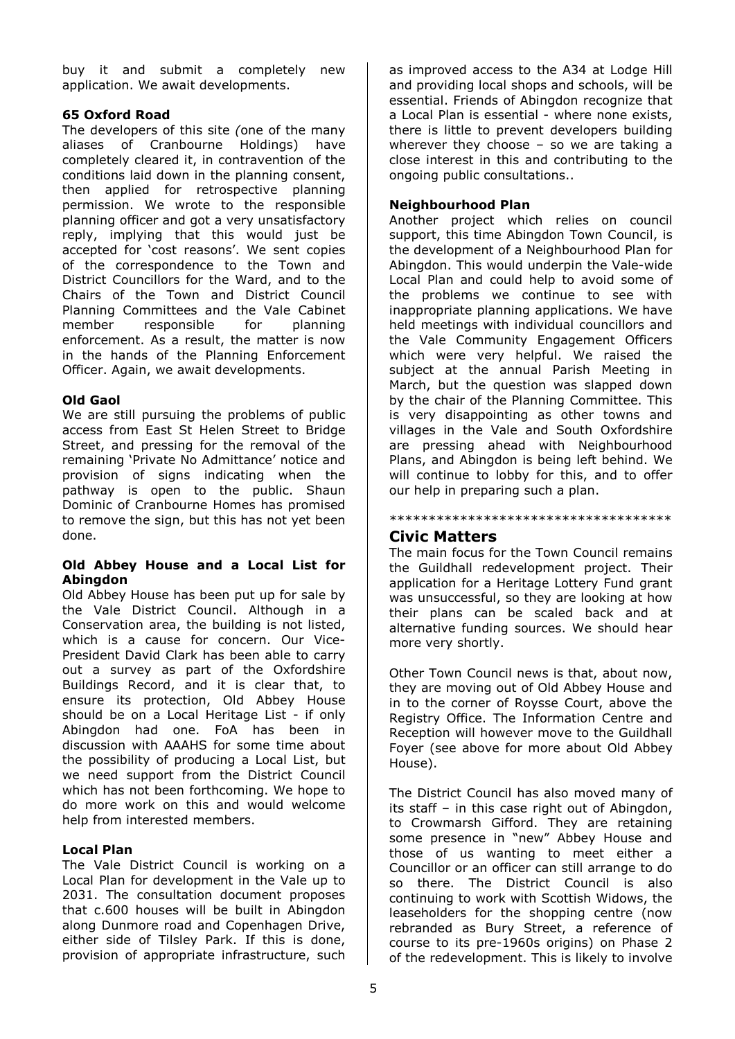buy it and submit a completely new application. We await developments.

### **65 Oxford Road**

The developers of this site *(*one of the many aliases of Cranbourne Holdings) have completely cleared it, in contravention of the conditions laid down in the planning consent, then applied for retrospective planning permission. We wrote to the responsible planning officer and got a very unsatisfactory reply, implying that this would just be accepted for 'cost reasons'. We sent copies of the correspondence to the Town and District Councillors for the Ward, and to the Chairs of the Town and District Council Planning Committees and the Vale Cabinet member responsible for planning enforcement. As a result, the matter is now in the hands of the Planning Enforcement Officer. Again, we await developments.

### **Old Gaol**

We are still pursuing the problems of public access from East St Helen Street to Bridge Street, and pressing for the removal of the remaining 'Private No Admittance' notice and provision of signs indicating when the pathway is open to the public. Shaun Dominic of Cranbourne Homes has promised to remove the sign, but this has not yet been done.

#### **Old Abbey House and a Local List for Abingdon**

Old Abbey House has been put up for sale by the Vale District Council. Although in a Conservation area, the building is not listed, which is a cause for concern. Our Vice-President David Clark has been able to carry out a survey as part of the Oxfordshire Buildings Record, and it is clear that, to ensure its protection, Old Abbey House should be on a Local Heritage List - if only Abingdon had one. FoA has been in discussion with AAAHS for some time about the possibility of producing a Local List, but we need support from the District Council which has not been forthcoming. We hope to do more work on this and would welcome help from interested members.

#### **Local Plan**

The Vale District Council is working on a Local Plan for development in the Vale up to 2031. The consultation document proposes that c.600 houses will be built in Abingdon along Dunmore road and Copenhagen Drive, either side of Tilsley Park. If this is done, provision of appropriate infrastructure, such

as improved access to the A34 at Lodge Hill and providing local shops and schools, will be essential. Friends of Abingdon recognize that a Local Plan is essential - where none exists, there is little to prevent developers building wherever they choose  $-$  so we are taking a close interest in this and contributing to the ongoing public consultations..

### **Neighbourhood Plan**

Another project which relies on council support, this time Abingdon Town Council, is the development of a Neighbourhood Plan for Abingdon. This would underpin the Vale-wide Local Plan and could help to avoid some of the problems we continue to see with inappropriate planning applications. We have held meetings with individual councillors and the Vale Community Engagement Officers which were very helpful. We raised the subject at the annual Parish Meeting in March, but the question was slapped down by the chair of the Planning Committee. This is very disappointing as other towns and villages in the Vale and South Oxfordshire are pressing ahead with Neighbourhood Plans, and Abingdon is being left behind. We will continue to lobby for this, and to offer our help in preparing such a plan.

### \*\*\*\*\*\*\*\*\*\*\*\*\*\*\*\*\*\*\*\*\*\*\*\*\*\*\*\*\*\*\*\*\*\*\*\*

#### **Civic Matters**

The main focus for the Town Council remains the Guildhall redevelopment project. Their application for a Heritage Lottery Fund grant was unsuccessful, so they are looking at how their plans can be scaled back and at alternative funding sources. We should hear more very shortly.

Other Town Council news is that, about now, they are moving out of Old Abbey House and in to the corner of Roysse Court, above the Registry Office. The Information Centre and Reception will however move to the Guildhall Foyer (see above for more about Old Abbey House).

The District Council has also moved many of its staff – in this case right out of Abingdon, to Crowmarsh Gifford. They are retaining some presence in "new" Abbey House and those of us wanting to meet either a Councillor or an officer can still arrange to do so there. The District Council is also continuing to work with Scottish Widows, the leaseholders for the shopping centre (now rebranded as Bury Street, a reference of course to its pre-1960s origins) on Phase 2 of the redevelopment. This is likely to involve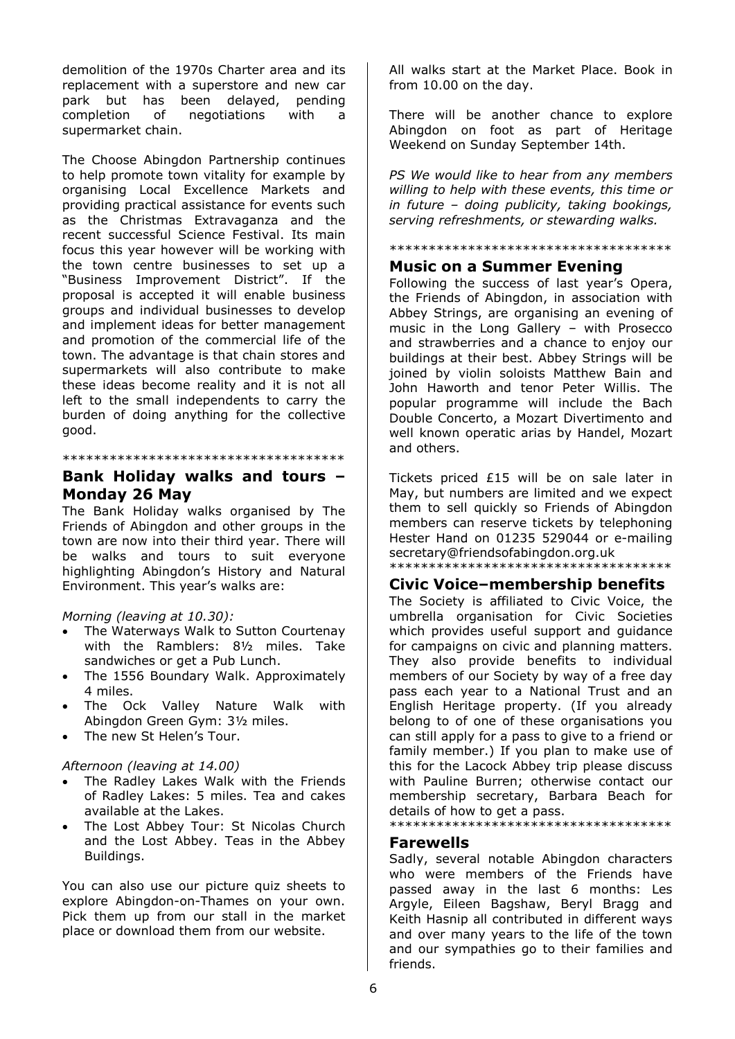demolition of the 1970s Charter area and its replacement with a superstore and new car park but has been delayed, pending completion of negotiations with a supermarket chain.

The Choose Abingdon Partnership continues to help promote town vitality for example by organising Local Excellence Markets and providing practical assistance for events such as the Christmas Extravaganza and the recent successful Science Festival. Its main focus this year however will be working with the town centre businesses to set up a "Business Improvement District". If the proposal is accepted it will enable business groups and individual businesses to develop and implement ideas for better management and promotion of the commercial life of the town. The advantage is that chain stores and supermarkets will also contribute to make these ideas become reality and it is not all left to the small independents to carry the burden of doing anything for the collective good.

\*\*\*\*\*\*\*\*\*\*\*\*\*\*\*\*\*\*\*\*\*\*\*\*\*\*\*\*\*\*\*\*\*\*\*\*

# **Bank Holiday walks and tours – Monday 26 May**

The Bank Holiday walks organised by The Friends of Abingdon and other groups in the town are now into their third year. There will be walks and tours to suit everyone highlighting Abingdon's History and Natural Environment. This year's walks are:

#### *Morning (leaving at 10.30):*

- The Waterways Walk to Sutton Courtenay with the Ramblers: 8½ miles. Take sandwiches or get a Pub Lunch.
- The 1556 Boundary Walk. Approximately 4 miles.
- The Ock Valley Nature Walk with Abingdon Green Gym: 3½ miles.
- The new St Helen's Tour.

### *Afternoon (leaving at 14.00)*

- The Radley Lakes Walk with the Friends of Radley Lakes: 5 miles. Tea and cakes available at the Lakes.
- The Lost Abbey Tour: St Nicolas Church and the Lost Abbey. Teas in the Abbey Buildings.

You can also use our picture quiz sheets to explore Abingdon-on-Thames on your own. Pick them up from our stall in the market place or download them from our website.

All walks start at the Market Place. Book in from 10.00 on the day.

There will be another chance to explore Abingdon on foot as part of Heritage Weekend on Sunday September 14th.

*PS We would like to hear from any members willing to help with these events, this time or in future – doing publicity, taking bookings, serving refreshments, or stewarding walks.*

#### \*\*\*\*\*\*\*\*\*\*\*\*\*\*\*\*\*\*\*\*\*\*\*\*\*\*\*\*\*\*\*\*\*\*\*\*

## **Music on a Summer Evening**

Following the success of last year's Opera, the Friends of Abingdon, in association with Abbey Strings, are organising an evening of music in the Long Gallery – with Prosecco and strawberries and a chance to enjoy our buildings at their best. Abbey Strings will be joined by violin soloists Matthew Bain and John Haworth and tenor Peter Willis. The popular programme will include the Bach Double Concerto, a Mozart Divertimento and well known operatic arias by Handel, Mozart and others.

Tickets priced £15 will be on sale later in May, but numbers are limited and we expect them to sell quickly so Friends of Abingdon members can reserve tickets by telephoning Hester Hand on 01235 529044 or e-mailing [secretary@friendsofabing](mailto:secretary@friendsofabingdon.org.uk)don.org.uk \*\*\*\*\*\*\*\*\*\*\*\*\*\*\*\*\*\*\*\*\*\*\*\*\*\*\*\*\*\*\*\*\*\*\*\*

### **Civic Voice–membership benefits**

The Society is affiliated to Civic Voice, the umbrella organisation for Civic Societies which provides useful support and guidance for campaigns on civic and planning matters. They also provide benefits to individual members of our Society by way of a free day pass each year to a National Trust and an English Heritage property. (If you already belong to of one of these organisations you can still apply for a pass to give to a friend or family member.) If you plan to make use of this for the Lacock Abbey trip please discuss with Pauline Burren; otherwise contact our membership secretary, Barbara Beach for details of how to get a pass.

\*\*\*\*\*\*\*\*\*\*\*\*\*\*\*\*\*\*\*\*\*\*\*\*\*\*\*\*\*\*\*\*\*\*\*\*

#### **Farewells**

Sadly, several notable Abingdon characters who were members of the Friends have passed away in the last 6 months: Les Argyle, Eileen Bagshaw, Beryl Bragg and Keith Hasnip all contributed in different ways and over many years to the life of the town and our sympathies go to their families and friends.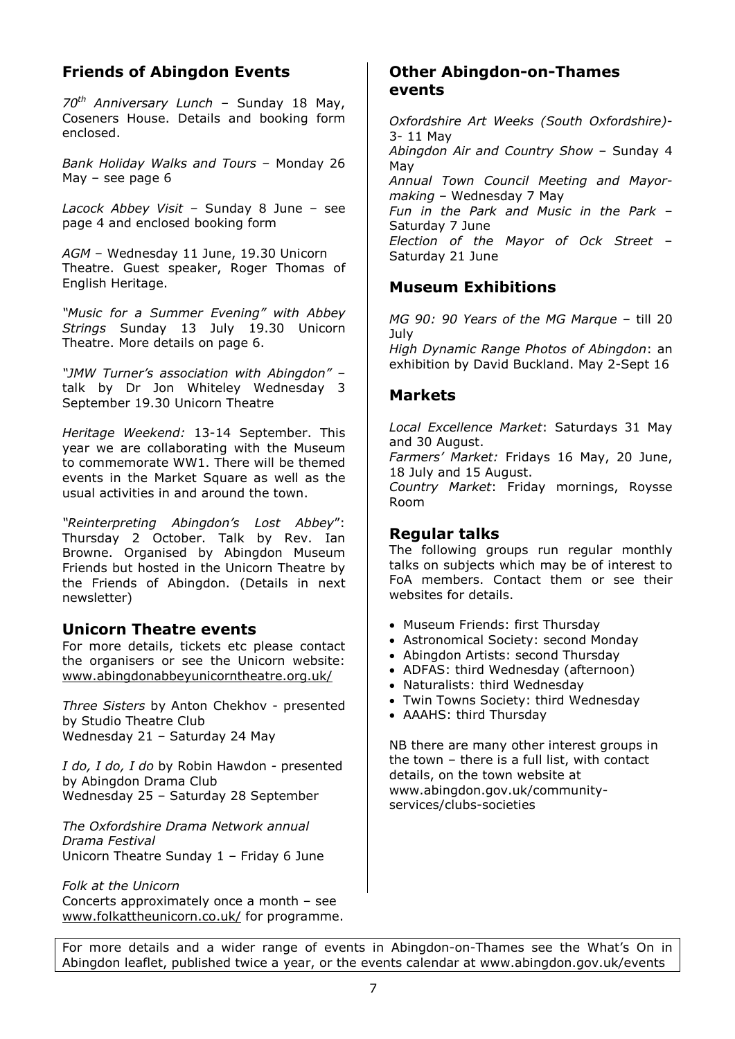# **Friends of Abingdon Events**

*70th Anniversary Lunch* – Sunday 18 May, Coseners House. Details and booking form enclosed.

*Bank Holiday Walks and Tours* – Monday 26 May – see page 6

*Lacock Abbey Visit* – Sunday 8 June – see page 4 and enclosed booking form

*AGM* – Wednesday 11 June, 19.30 Unicorn Theatre. Guest speaker, Roger Thomas of English Heritage.

*"Music for a Summer Evening" with Abbey Strings* Sunday 13 July 19.30 Unicorn Theatre. More details on page 6.

*"JMW Turner's association with Abingdon"* – talk by Dr Jon Whiteley Wednesday 3 September 19.30 Unicorn Theatre

*Heritage Weekend:* 13-14 September. This year we are collaborating with the Museum to commemorate WW1. There will be themed events in the Market Square as well as the usual activities in and around the town.

*"Reinterpreting Abingdon's Lost Abbey*": Thursday 2 October. Talk by Rev. Ian Browne. Organised by Abingdon Museum Friends but hosted in the Unicorn Theatre by the Friends of Abingdon. (Details in next newsletter)

### **Unicorn Theatre events**

For more details, tickets etc please contact the organisers or see the Unicorn website: [www.abingdonabbeyunicornth](http://www.abingdonabbeyunicorntheatre.org.uk/)eatre.org.uk/

*Three Sisters* by Anton Chekhov - presented by Studio Theatre Club Wednesday 21 – Saturday 24 May

*I do, I do, I do* by Robin Hawdon *-* presented by Abingdon Drama Club Wednesday 25 – Saturday 28 September

*The Oxfordshire Drama Network annual Drama Festival* Unicorn Theatre Sunday 1 – Friday 6 June

*Folk at the Unicorn* Concerts approximately once a month – see [www.folkattheunico](http://www.folkattheunicorn.co.uk/)rn.co.uk/ for programme.

# **Other Abingdon-on-Thames events**

*Oxfordshire Art Weeks (South Oxfordshire)-* 3- 11 May *Abingdon Air and Country Show* – Sunday 4 May *Annual Town Council Meeting and Mayormaking* – Wednesday 7 May *Fun in the Park and Music in the Park* – Saturday 7 June *Election of the Mayor of Ock Street* – Saturday 21 June

# **Museum Exhibitions**

*MG 90: 90 Years of the MG Marque* – till 20 July

*High Dynamic Range Photos of Abingdon*: an exhibition by David Buckland. May 2-Sept 16

# **Markets**

*Local Excellence Market*: Saturdays 31 May and 30 August.

*Farmers' Market:* Fridays 16 May, 20 June, 18 July and 15 August.

*Country Market*: Friday mornings, Roysse Room

## **Regular talks**

The following groups run regular monthly talks on subjects which may be of interest to FoA members. Contact them or see their websites for details.

- Museum Friends: first Thursday
- Astronomical Society: second Monday
- Abingdon Artists: second Thursday
- ADFAS: third Wednesday (afternoon)
- Naturalists: third Wednesdav
- Twin Towns Society: third Wednesday
- AAAHS: third Thursday

NB there are many other interest groups in the town – there is a full list, with contact details, on the town website at [www.abingdon.gov.uk/c](http://www.abingdon.gov.uk/community-services/clubs-societies)ommunity[services/clubs-s](http://www.abingdon.gov.uk/community-services/clubs-societies)ocieties

For more details and a wider range of events in Abingdon-on-Thames see the What's On in Abingdon leaflet, published twice a year, or the events calendar at [www.abingdon.gov.u](http://www.abingdon.gov.uk/events)k/events